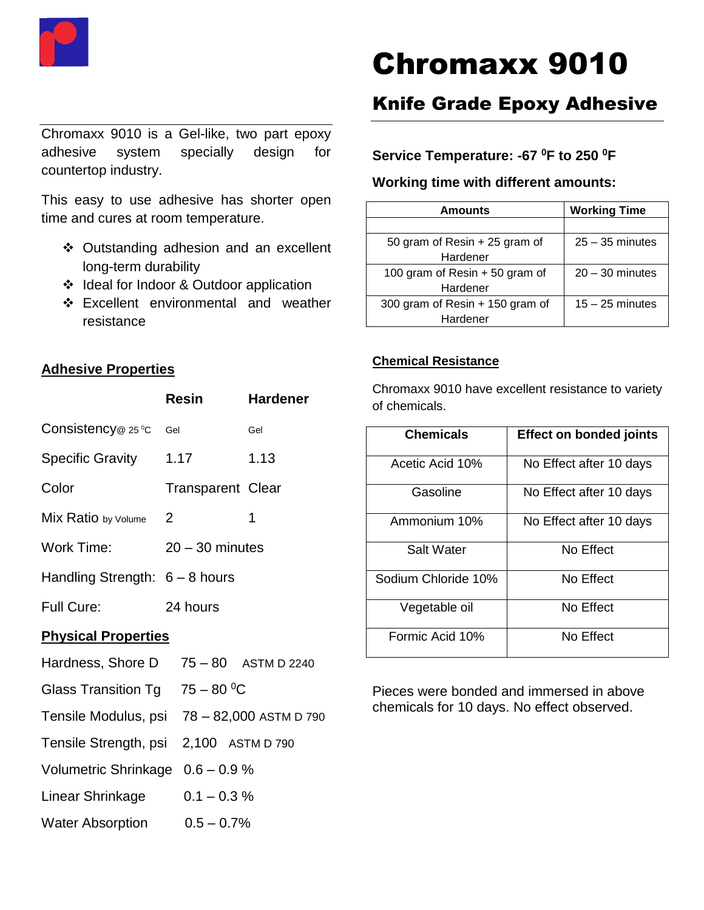

# Chromaxx 9010

Chromaxx 9010 is a Gel-like, two part epoxy adhesive system specially design for countertop industry.

This easy to use adhesive has shorter open time and cures at room temperature.

- ❖ Outstanding adhesion and an excellent long-term durability
- ❖ Ideal for Indoor & Outdoor application
- ❖ Excellent environmental and weather resistance

# **Adhesive Properties**

|                                        | Resin                    | <b>Hardener</b>                             |  |
|----------------------------------------|--------------------------|---------------------------------------------|--|
| Consistency @ 25 °C                    | Gel                      | Gel                                         |  |
| <b>Specific Gravity</b>                | 1.17                     | 1.13                                        |  |
| Color                                  | <b>Transparent Clear</b> |                                             |  |
| Mix Ratio by Volume                    | 2                        | 1                                           |  |
| <b>Work Time:</b>                      | $20 - 30$ minutes        |                                             |  |
| Handling Strength: $6 - 8$ hours       |                          |                                             |  |
| <b>Full Cure:</b>                      | 24 hours                 |                                             |  |
| <b>Physical Properties</b>             |                          |                                             |  |
| Hardness, Shore D                      |                          | $75 - 80$ ASTM D 2240                       |  |
| Glass Transition Tg $75 - 80$ °C       |                          |                                             |  |
|                                        |                          | Tensile Modulus, psi 78 - 82,000 ASTM D 790 |  |
| Tensile Strength, psi 2,100 ASTM D 790 |                          |                                             |  |
| Volumetric Shrinkage 0.6 - 0.9 %       |                          |                                             |  |
| Linear Shrinkage                       |                          | $0.1 - 0.3 %$                               |  |
| <b>Water Absorption</b>                |                          | $0.5 - 0.7%$                                |  |

# Knife Grade Epoxy Adhesive

## **Service Temperature: -67 <sup>0</sup>F to 250 <sup>0</sup>F**

#### **Working time with different amounts:**

| Amounts                         | <b>Working Time</b> |
|---------------------------------|---------------------|
|                                 |                     |
| 50 gram of Resin + 25 gram of   | $25 - 35$ minutes   |
| Hardener                        |                     |
| 100 gram of Resin $+50$ gram of | $20 - 30$ minutes   |
| Hardener                        |                     |
| 300 gram of Resin + 150 gram of | $15 - 25$ minutes   |
| Hardener                        |                     |

#### **Chemical Resistance**

Chromaxx 9010 have excellent resistance to variety of chemicals.

| <b>Chemicals</b>    | <b>Effect on bonded joints</b> |  |
|---------------------|--------------------------------|--|
| Acetic Acid 10%     | No Effect after 10 days        |  |
| Gasoline            | No Effect after 10 days        |  |
| Ammonium 10%        | No Effect after 10 days        |  |
| Salt Water          | No Effect                      |  |
| Sodium Chloride 10% | No Effect                      |  |
| Vegetable oil       | No Effect                      |  |
| Formic Acid 10%     | No Effect                      |  |

Pieces were bonded and immersed in above chemicals for 10 days. No effect observed.